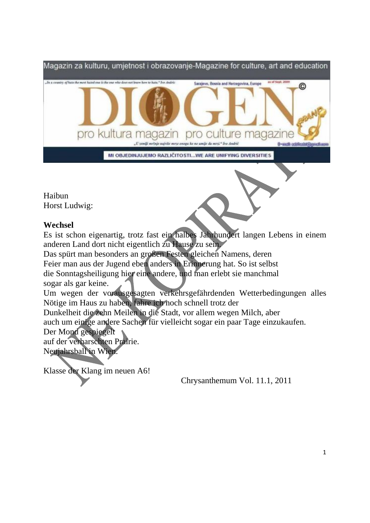

Haibun Horst Ludwig:

## **Wechsel**

Es ist schon eigenartig, trotz fast ein halbes Jahrhundert langen Lebens in einem anderen Land dort nicht eigentlich zu Hause zu sein.

Das spürt man besonders an großen Festen gleichen Namens, deren

Feier man aus der Jugend eben anders in Erinnerung hat. So ist selbst

die Sonntagsheiligung hier eine andere, und man erlebt sie manchmal sogar als gar keine.

Um wegen der vorausgesagten verkehrsgefährdenden Wetterbedingungen alles Nötige im Haus zu haben, fahre ich noch schnell trotz der

Dunkelheit die zehn Meilen in die Stadt, vor allem wegen Milch, aber

auch um einige andere Sachen für vielleicht sogar ein paar Tage einzukaufen.

## Der Mond gespiegelt

auf der verharschten Prairie. Neujahrsball in Wien.

Klasse der Klang im neuen A6!

Chrysanthemum Vol. 11.1, 2011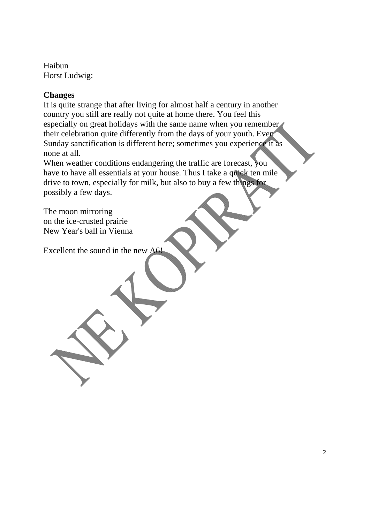Haibun Horst Ludwig:

## **Changes**

It is quite strange that after living for almost half a century in another country you still are really not quite at home there. You feel this especially on great holidays with the same name when you remember their celebration quite differently from the days of your youth. Even Sunday sanctification is different here; sometimes you experience it as none at all.

When weather conditions endangering the traffic are forecast, you have to have all essentials at your house. Thus I take a quick ten mile drive to town, especially for milk, but also to buy a few things for possibly a few days.

The moon mirroring on the ice-crusted prairie New Year's ball in Vienna

Excellent the sound in the new A6!